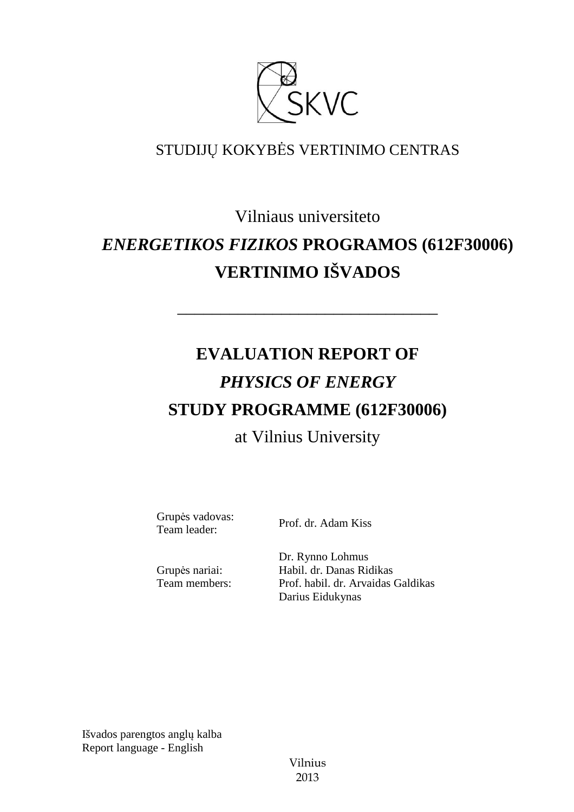

# STUDIJŲ KOKYBĖS VERTINIMO CENTRAS

# Vilniaus universiteto *ENERGETIKOS FIZIKOS* **PROGRAMOS (612F30006) VERTINIMO IŠVADOS**

––––––––––––––––––––––––––––––

# **EVALUATION REPORT OF**  *PHYSICS OF ENERGY* **STUDY PROGRAMME (612F30006)** at Vilnius University

Grupės vadovas: Supervalorus: Prof. dr. Adam Kiss<br>Team leader: Prof. dr. Adam Kiss

Grupės nariai: Team members: Dr. Rynno Lohmus Habil. dr. Danas Ridikas Prof. habil. dr. Arvaidas Galdikas Darius Eidukynas

Išvados parengtos anglų kalba Report language - English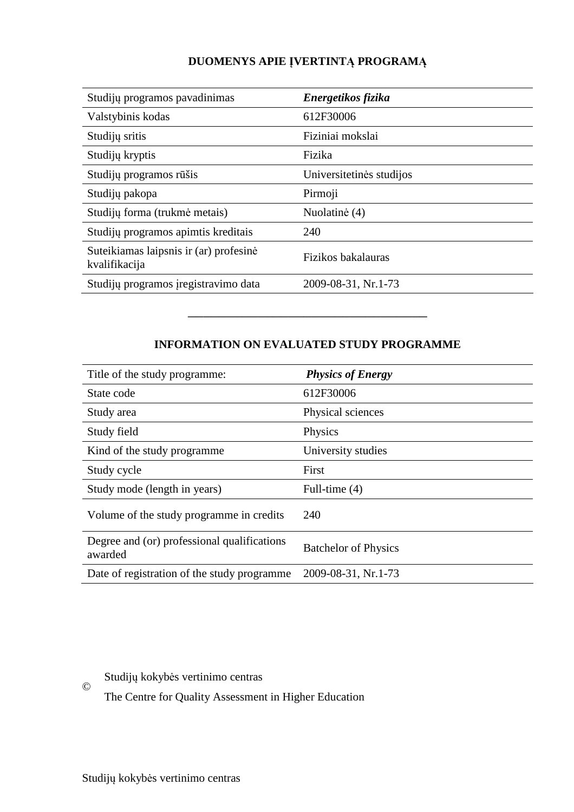# **DUOMENYS APIE ĮVERTINTĄ PROGRAMĄ**

| Studijų programos pavadinimas                           | Energetikos fizika       |
|---------------------------------------------------------|--------------------------|
| Valstybinis kodas                                       | 612F30006                |
| Studijų sritis                                          | Fiziniai mokslai         |
| Studijų kryptis                                         | Fizika                   |
| Studijų programos rūšis                                 | Universitetinės studijos |
| Studijų pakopa                                          | Pirmoji                  |
| Studijų forma (trukmė metais)                           | Nuolatinė (4)            |
| Studijų programos apimtis kreditais                     | 240                      |
| Suteikiamas laipsnis ir (ar) profesinė<br>kvalifikacija | Fizikos bakalauras       |
| Studijų programos įregistravimo data                    | 2009-08-31, Nr.1-73      |

## **INFORMATION ON EVALUATED STUDY PROGRAMME**

–––––––––––––––––––––––––––––––

| Title of the study programme:                          | <b>Physics of Energy</b>    |
|--------------------------------------------------------|-----------------------------|
| State code                                             | 612F30006                   |
| Study area                                             | Physical sciences           |
| Study field                                            | Physics                     |
| Kind of the study programme                            | University studies          |
| Study cycle                                            | First                       |
| Study mode (length in years)                           | Full-time $(4)$             |
| Volume of the study programme in credits               | 240                         |
| Degree and (or) professional qualifications<br>awarded | <b>Batchelor of Physics</b> |
| Date of registration of the study programme.           | 2009-08-31, Nr.1-73         |

## Studijų kokybės vertinimo centras

©

The Centre for Quality Assessment in Higher Education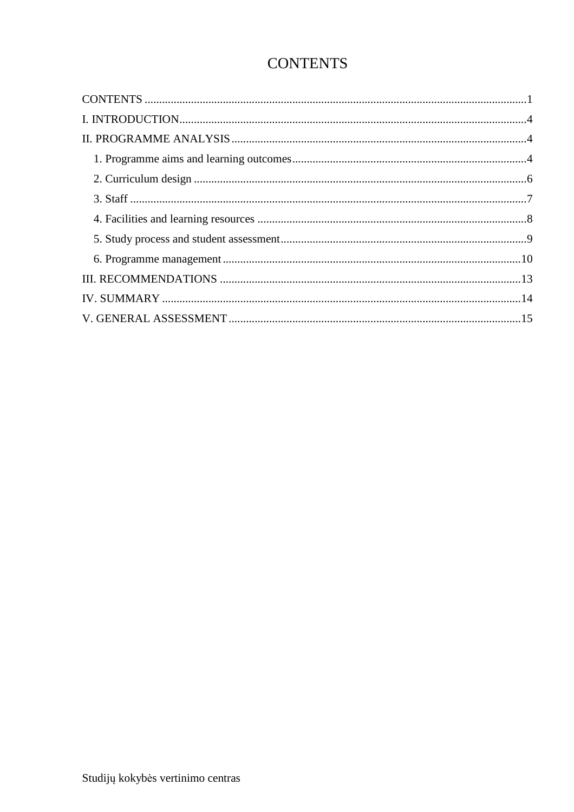# **CONTENTS**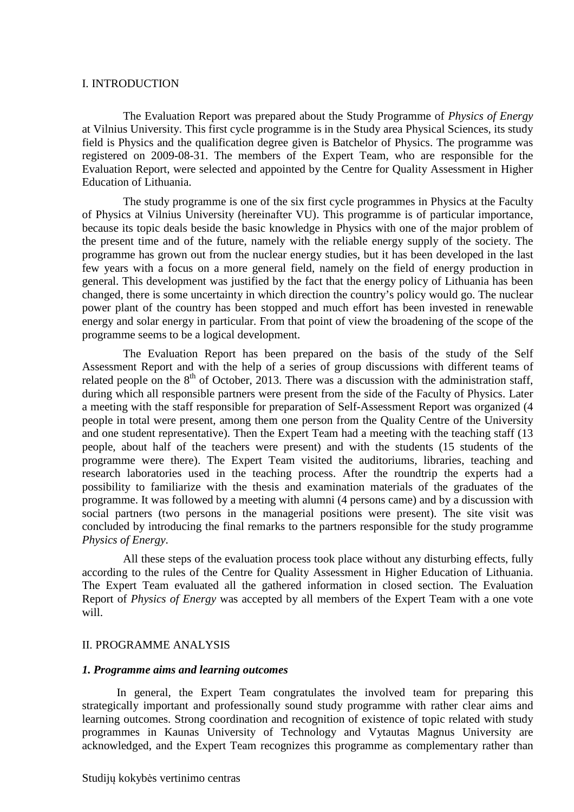#### I. INTRODUCTION

The Evaluation Report was prepared about the Study Programme of *Physics of Energy* at Vilnius University. This first cycle programme is in the Study area Physical Sciences, its study field is Physics and the qualification degree given is Batchelor of Physics. The programme was registered on 2009-08-31. The members of the Expert Team, who are responsible for the Evaluation Report, were selected and appointed by the Centre for Quality Assessment in Higher Education of Lithuania.

 The study programme is one of the six first cycle programmes in Physics at the Faculty of Physics at Vilnius University (hereinafter VU). This programme is of particular importance, because its topic deals beside the basic knowledge in Physics with one of the major problem of the present time and of the future, namely with the reliable energy supply of the society. The programme has grown out from the nuclear energy studies, but it has been developed in the last few years with a focus on a more general field, namely on the field of energy production in general. This development was justified by the fact that the energy policy of Lithuania has been changed, there is some uncertainty in which direction the country's policy would go. The nuclear power plant of the country has been stopped and much effort has been invested in renewable energy and solar energy in particular. From that point of view the broadening of the scope of the programme seems to be a logical development.

 The Evaluation Report has been prepared on the basis of the study of the Self Assessment Report and with the help of a series of group discussions with different teams of related people on the  $8<sup>th</sup>$  of October, 2013. There was a discussion with the administration staff, during which all responsible partners were present from the side of the Faculty of Physics. Later a meeting with the staff responsible for preparation of Self-Assessment Report was organized (4 people in total were present, among them one person from the Quality Centre of the University and one student representative). Then the Expert Team had a meeting with the teaching staff (13 people, about half of the teachers were present) and with the students (15 students of the programme were there). The Expert Team visited the auditoriums, libraries, teaching and research laboratories used in the teaching process. After the roundtrip the experts had a possibility to familiarize with the thesis and examination materials of the graduates of the programme. It was followed by a meeting with alumni (4 persons came) and by a discussion with social partners (two persons in the managerial positions were present). The site visit was concluded by introducing the final remarks to the partners responsible for the study programme *Physics of Energy*.

 All these steps of the evaluation process took place without any disturbing effects, fully according to the rules of the Centre for Quality Assessment in Higher Education of Lithuania. The Expert Team evaluated all the gathered information in closed section. The Evaluation Report of *Physics of Energy* was accepted by all members of the Expert Team with a one vote will.

#### II. PROGRAMME ANALYSIS

#### *1. Programme aims and learning outcomes*

In general, the Expert Team congratulates the involved team for preparing this strategically important and professionally sound study programme with rather clear aims and learning outcomes. Strong coordination and recognition of existence of topic related with study programmes in Kaunas University of Technology and Vytautas Magnus University are acknowledged, and the Expert Team recognizes this programme as complementary rather than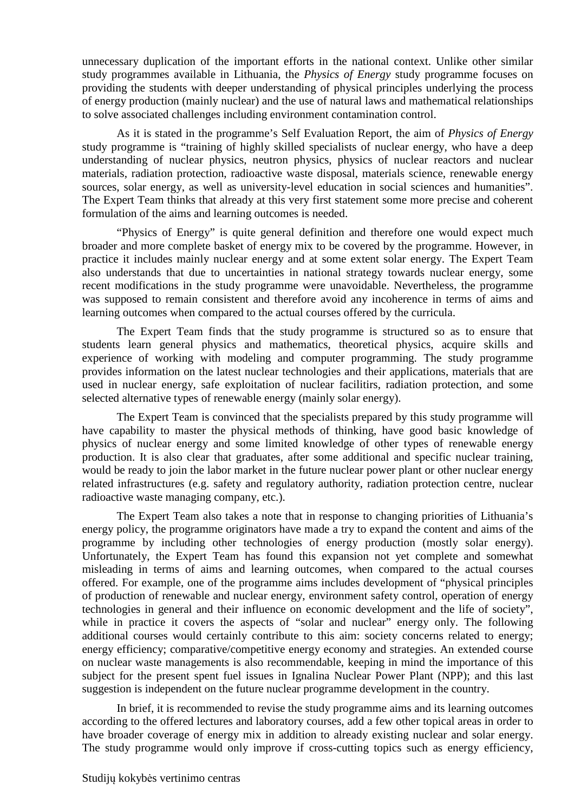unnecessary duplication of the important efforts in the national context. Unlike other similar study programmes available in Lithuania, the *Physics of Energy* study programme focuses on providing the students with deeper understanding of physical principles underlying the process of energy production (mainly nuclear) and the use of natural laws and mathematical relationships to solve associated challenges including environment contamination control.

As it is stated in the programme's Self Evaluation Report, the aim of *Physics of Energy* study programme is "training of highly skilled specialists of nuclear energy, who have a deep understanding of nuclear physics, neutron physics, physics of nuclear reactors and nuclear materials, radiation protection, radioactive waste disposal, materials science, renewable energy sources, solar energy, as well as university-level education in social sciences and humanities". The Expert Team thinks that already at this very first statement some more precise and coherent formulation of the aims and learning outcomes is needed.

"Physics of Energy" is quite general definition and therefore one would expect much broader and more complete basket of energy mix to be covered by the programme. However, in practice it includes mainly nuclear energy and at some extent solar energy. The Expert Team also understands that due to uncertainties in national strategy towards nuclear energy, some recent modifications in the study programme were unavoidable. Nevertheless, the programme was supposed to remain consistent and therefore avoid any incoherence in terms of aims and learning outcomes when compared to the actual courses offered by the curricula.

The Expert Team finds that the study programme is structured so as to ensure that students learn general physics and mathematics, theoretical physics, acquire skills and experience of working with modeling and computer programming. The study programme provides information on the latest nuclear technologies and their applications, materials that are used in nuclear energy, safe exploitation of nuclear facilitirs, radiation protection, and some selected alternative types of renewable energy (mainly solar energy).

The Expert Team is convinced that the specialists prepared by this study programme will have capability to master the physical methods of thinking, have good basic knowledge of physics of nuclear energy and some limited knowledge of other types of renewable energy production. It is also clear that graduates, after some additional and specific nuclear training, would be ready to join the labor market in the future nuclear power plant or other nuclear energy related infrastructures (e.g. safety and regulatory authority, radiation protection centre, nuclear radioactive waste managing company, etc.).

The Expert Team also takes a note that in response to changing priorities of Lithuania's energy policy, the programme originators have made a try to expand the content and aims of the programme by including other technologies of energy production (mostly solar energy). Unfortunately, the Expert Team has found this expansion not yet complete and somewhat misleading in terms of aims and learning outcomes, when compared to the actual courses offered. For example, one of the programme aims includes development of "physical principles of production of renewable and nuclear energy, environment safety control, operation of energy technologies in general and their influence on economic development and the life of society", while in practice it covers the aspects of "solar and nuclear" energy only. The following additional courses would certainly contribute to this aim: society concerns related to energy; energy efficiency; comparative/competitive energy economy and strategies. An extended course on nuclear waste managements is also recommendable, keeping in mind the importance of this subject for the present spent fuel issues in Ignalina Nuclear Power Plant (NPP); and this last suggestion is independent on the future nuclear programme development in the country.

In brief, it is recommended to revise the study programme aims and its learning outcomes according to the offered lectures and laboratory courses, add a few other topical areas in order to have broader coverage of energy mix in addition to already existing nuclear and solar energy. The study programme would only improve if cross-cutting topics such as energy efficiency,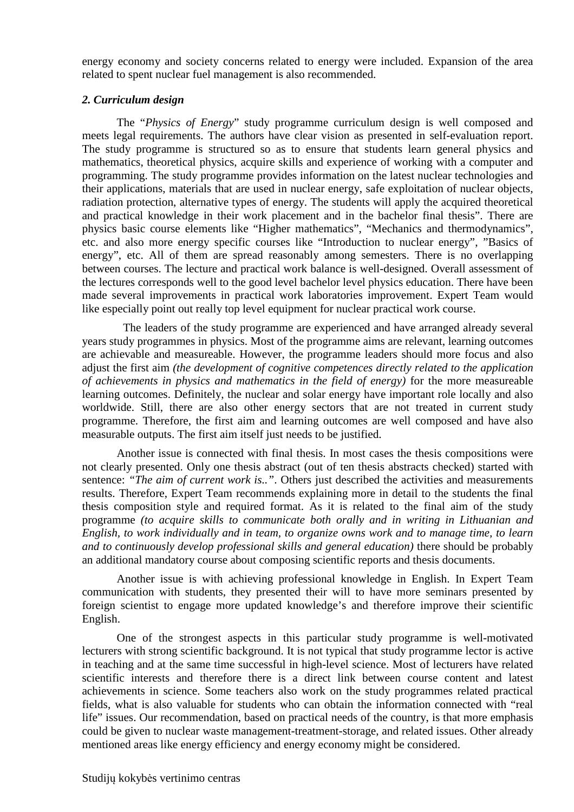energy economy and society concerns related to energy were included. Expansion of the area related to spent nuclear fuel management is also recommended.

#### *2. Curriculum design*

The "*Physics of Energy*" study programme curriculum design is well composed and meets legal requirements. The authors have clear vision as presented in self-evaluation report. The study programme is structured so as to ensure that students learn general physics and mathematics, theoretical physics, acquire skills and experience of working with a computer and programming. The study programme provides information on the latest nuclear technologies and their applications, materials that are used in nuclear energy, safe exploitation of nuclear objects, radiation protection, alternative types of energy. The students will apply the acquired theoretical and practical knowledge in their work placement and in the bachelor final thesis". There are physics basic course elements like "Higher mathematics", "Mechanics and thermodynamics", etc. and also more energy specific courses like "Introduction to nuclear energy", "Basics of energy", etc. All of them are spread reasonably among semesters. There is no overlapping between courses. The lecture and practical work balance is well-designed. Overall assessment of the lectures corresponds well to the good level bachelor level physics education. There have been made several improvements in practical work laboratories improvement. Expert Team would like especially point out really top level equipment for nuclear practical work course.

 The leaders of the study programme are experienced and have arranged already several years study programmes in physics. Most of the programme aims are relevant, learning outcomes are achievable and measureable. However, the programme leaders should more focus and also adjust the first aim *(the development of cognitive competences directly related to the application of achievements in physics and mathematics in the field of energy)* for the more measureable learning outcomes. Definitely, the nuclear and solar energy have important role locally and also worldwide. Still, there are also other energy sectors that are not treated in current study programme. Therefore, the first aim and learning outcomes are well composed and have also measurable outputs. The first aim itself just needs to be justified.

Another issue is connected with final thesis. In most cases the thesis compositions were not clearly presented. Only one thesis abstract (out of ten thesis abstracts checked) started with sentence: *"The aim of current work is.."*. Others just described the activities and measurements results. Therefore, Expert Team recommends explaining more in detail to the students the final thesis composition style and required format. As it is related to the final aim of the study programme *(to acquire skills to communicate both orally and in writing in Lithuanian and English, to work individually and in team, to organize owns work and to manage time, to learn and to continuously develop professional skills and general education)* there should be probably an additional mandatory course about composing scientific reports and thesis documents.

Another issue is with achieving professional knowledge in English. In Expert Team communication with students, they presented their will to have more seminars presented by foreign scientist to engage more updated knowledge's and therefore improve their scientific English.

One of the strongest aspects in this particular study programme is well-motivated lecturers with strong scientific background. It is not typical that study programme lector is active in teaching and at the same time successful in high-level science. Most of lecturers have related scientific interests and therefore there is a direct link between course content and latest achievements in science. Some teachers also work on the study programmes related practical fields, what is also valuable for students who can obtain the information connected with "real life" issues. Our recommendation, based on practical needs of the country, is that more emphasis could be given to nuclear waste management-treatment-storage, and related issues. Other already mentioned areas like energy efficiency and energy economy might be considered.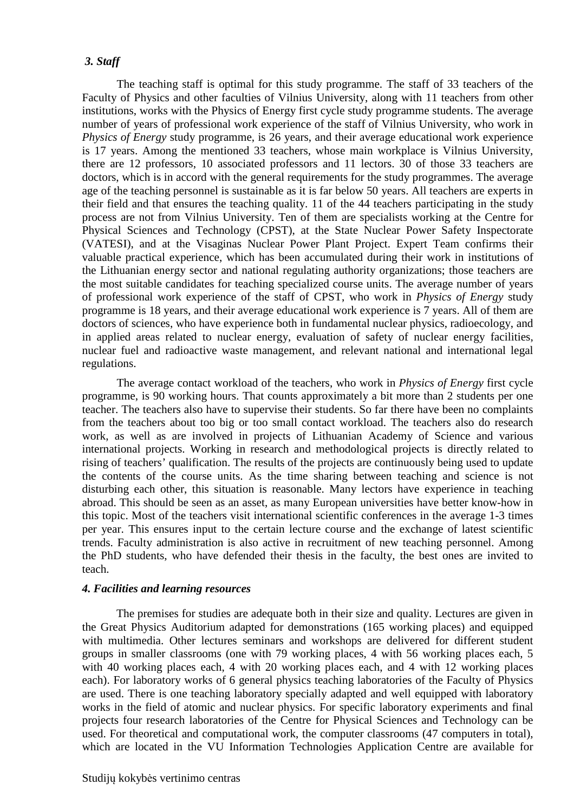#### *3. Staff*

The teaching staff is optimal for this study programme. The staff of 33 teachers of the Faculty of Physics and other faculties of Vilnius University, along with 11 teachers from other institutions, works with the Physics of Energy first cycle study programme students. The average number of years of professional work experience of the staff of Vilnius University, who work in *Physics of Energy* study programme, is 26 years, and their average educational work experience is 17 years. Among the mentioned 33 teachers, whose main workplace is Vilnius University, there are 12 professors, 10 associated professors and 11 lectors. 30 of those 33 teachers are doctors, which is in accord with the general requirements for the study programmes. The average age of the teaching personnel is sustainable as it is far below 50 years. All teachers are experts in their field and that ensures the teaching quality. 11 of the 44 teachers participating in the study process are not from Vilnius University. Ten of them are specialists working at the Centre for Physical Sciences and Technology (CPST), at the State Nuclear Power Safety Inspectorate (VATESI), and at the Visaginas Nuclear Power Plant Project. Expert Team confirms their valuable practical experience, which has been accumulated during their work in institutions of the Lithuanian energy sector and national regulating authority organizations; those teachers are the most suitable candidates for teaching specialized course units. The average number of years of professional work experience of the staff of CPST, who work in *Physics of Energy* study programme is 18 years, and their average educational work experience is 7 years. All of them are doctors of sciences, who have experience both in fundamental nuclear physics, radioecology, and in applied areas related to nuclear energy, evaluation of safety of nuclear energy facilities, nuclear fuel and radioactive waste management, and relevant national and international legal regulations.

The average contact workload of the teachers, who work in *Physics of Energy* first cycle programme, is 90 working hours. That counts approximately a bit more than 2 students per one teacher. The teachers also have to supervise their students. So far there have been no complaints from the teachers about too big or too small contact workload. The teachers also do research work, as well as are involved in projects of Lithuanian Academy of Science and various international projects. Working in research and methodological projects is directly related to rising of teachers' qualification. The results of the projects are continuously being used to update the contents of the course units. As the time sharing between teaching and science is not disturbing each other, this situation is reasonable. Many lectors have experience in teaching abroad. This should be seen as an asset, as many European universities have better know-how in this topic. Most of the teachers visit international scientific conferences in the average 1-3 times per year. This ensures input to the certain lecture course and the exchange of latest scientific trends. Faculty administration is also active in recruitment of new teaching personnel. Among the PhD students, who have defended their thesis in the faculty, the best ones are invited to teach.

#### *4. Facilities and learning resources*

The premises for studies are adequate both in their size and quality. Lectures are given in the Great Physics Auditorium adapted for demonstrations (165 working places) and equipped with multimedia. Other lectures seminars and workshops are delivered for different student groups in smaller classrooms (one with 79 working places, 4 with 56 working places each, 5 with 40 working places each, 4 with 20 working places each, and 4 with 12 working places each). For laboratory works of 6 general physics teaching laboratories of the Faculty of Physics are used. There is one teaching laboratory specially adapted and well equipped with laboratory works in the field of atomic and nuclear physics. For specific laboratory experiments and final projects four research laboratories of the Centre for Physical Sciences and Technology can be used. For theoretical and computational work, the computer classrooms (47 computers in total), which are located in the VU Information Technologies Application Centre are available for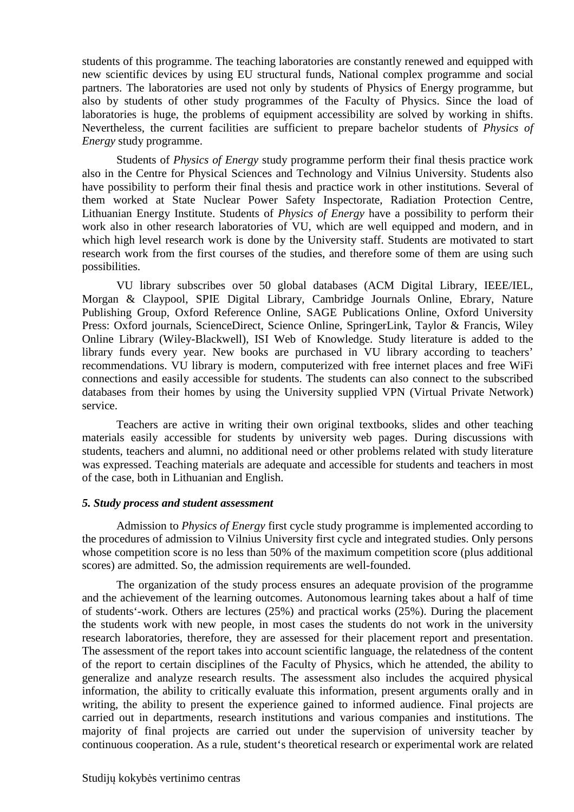students of this programme. The teaching laboratories are constantly renewed and equipped with new scientific devices by using EU structural funds, National complex programme and social partners. The laboratories are used not only by students of Physics of Energy programme, but also by students of other study programmes of the Faculty of Physics. Since the load of laboratories is huge, the problems of equipment accessibility are solved by working in shifts. Nevertheless, the current facilities are sufficient to prepare bachelor students of *Physics of Energy* study programme.

Students of *Physics of Energy* study programme perform their final thesis practice work also in the Centre for Physical Sciences and Technology and Vilnius University. Students also have possibility to perform their final thesis and practice work in other institutions. Several of them worked at State Nuclear Power Safety Inspectorate, Radiation Protection Centre, Lithuanian Energy Institute. Students of *Physics of Energy* have a possibility to perform their work also in other research laboratories of VU, which are well equipped and modern, and in which high level research work is done by the University staff. Students are motivated to start research work from the first courses of the studies, and therefore some of them are using such possibilities.

VU library subscribes over 50 global databases (ACM Digital Library, IEEE/IEL, Morgan & Claypool, SPIE Digital Library, Cambridge Journals Online, Ebrary, Nature Publishing Group, Oxford Reference Online, SAGE Publications Online, Oxford University Press: Oxford journals, ScienceDirect, Science Online, SpringerLink, Taylor & Francis, Wiley Online Library (Wiley-Blackwell), ISI Web of Knowledge. Study literature is added to the library funds every year. New books are purchased in VU library according to teachers' recommendations. VU library is modern, computerized with free internet places and free WiFi connections and easily accessible for students. The students can also connect to the subscribed databases from their homes by using the University supplied VPN (Virtual Private Network) service.

Teachers are active in writing their own original textbooks, slides and other teaching materials easily accessible for students by university web pages. During discussions with students, teachers and alumni, no additional need or other problems related with study literature was expressed. Teaching materials are adequate and accessible for students and teachers in most of the case, both in Lithuanian and English.

#### *5. Study process and student assessment*

Admission to *Physics of Energy* first cycle study programme is implemented according to the procedures of admission to Vilnius University first cycle and integrated studies. Only persons whose competition score is no less than 50% of the maximum competition score (plus additional scores) are admitted. So, the admission requirements are well-founded.

The organization of the study process ensures an adequate provision of the programme and the achievement of the learning outcomes. Autonomous learning takes about a half of time of students'-work. Others are lectures (25%) and practical works (25%). During the placement the students work with new people, in most cases the students do not work in the university research laboratories, therefore, they are assessed for their placement report and presentation. The assessment of the report takes into account scientific language, the relatedness of the content of the report to certain disciplines of the Faculty of Physics, which he attended, the ability to generalize and analyze research results. The assessment also includes the acquired physical information, the ability to critically evaluate this information, present arguments orally and in writing, the ability to present the experience gained to informed audience. Final projects are carried out in departments, research institutions and various companies and institutions. The majority of final projects are carried out under the supervision of university teacher by continuous cooperation. As a rule, student's theoretical research or experimental work are related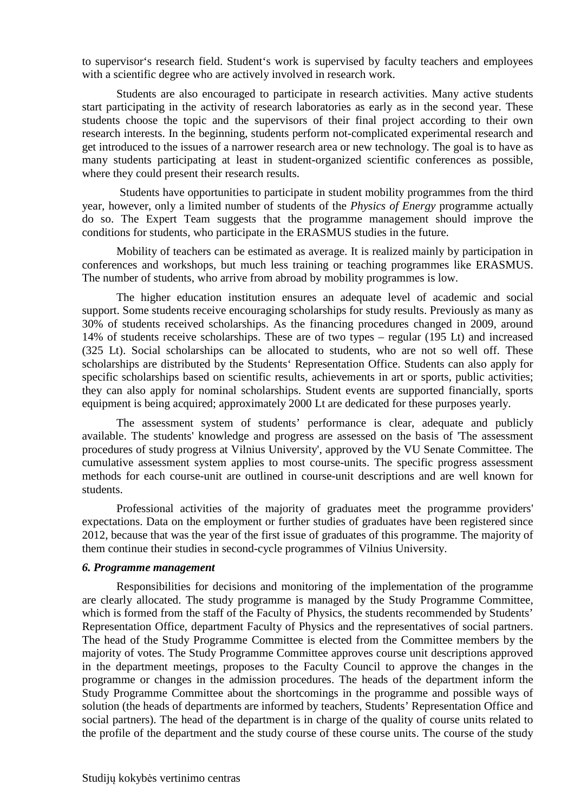to supervisor's research field. Student's work is supervised by faculty teachers and employees with a scientific degree who are actively involved in research work.

Students are also encouraged to participate in research activities. Many active students start participating in the activity of research laboratories as early as in the second year. These students choose the topic and the supervisors of their final project according to their own research interests. In the beginning, students perform not-complicated experimental research and get introduced to the issues of a narrower research area or new technology. The goal is to have as many students participating at least in student-organized scientific conferences as possible, where they could present their research results.

 Students have opportunities to participate in student mobility programmes from the third year, however, only a limited number of students of the *Physics of Energy* programme actually do so. The Expert Team suggests that the programme management should improve the conditions for students, who participate in the ERASMUS studies in the future.

Mobility of teachers can be estimated as average. It is realized mainly by participation in conferences and workshops, but much less training or teaching programmes like ERASMUS. The number of students, who arrive from abroad by mobility programmes is low.

The higher education institution ensures an adequate level of academic and social support. Some students receive encouraging scholarships for study results. Previously as many as 30% of students received scholarships. As the financing procedures changed in 2009, around 14% of students receive scholarships. These are of two types – regular (195 Lt) and increased (325 Lt). Social scholarships can be allocated to students, who are not so well off. These scholarships are distributed by the Students' Representation Office. Students can also apply for specific scholarships based on scientific results, achievements in art or sports, public activities; they can also apply for nominal scholarships. Student events are supported financially, sports equipment is being acquired; approximately 2000 Lt are dedicated for these purposes yearly.

The assessment system of students' performance is clear, adequate and publicly available. The students' knowledge and progress are assessed on the basis of 'The assessment procedures of study progress at Vilnius University', approved by the VU Senate Committee. The cumulative assessment system applies to most course-units. The specific progress assessment methods for each course-unit are outlined in course-unit descriptions and are well known for students.

Professional activities of the majority of graduates meet the programme providers' expectations. Data on the employment or further studies of graduates have been registered since 2012, because that was the year of the first issue of graduates of this programme. The majority of them continue their studies in second-cycle programmes of Vilnius University.

#### *6. Programme management*

Responsibilities for decisions and monitoring of the implementation of the programme are clearly allocated. The study programme is managed by the Study Programme Committee, which is formed from the staff of the Faculty of Physics, the students recommended by Students' Representation Office, department Faculty of Physics and the representatives of social partners. The head of the Study Programme Committee is elected from the Committee members by the majority of votes. The Study Programme Committee approves course unit descriptions approved in the department meetings, proposes to the Faculty Council to approve the changes in the programme or changes in the admission procedures. The heads of the department inform the Study Programme Committee about the shortcomings in the programme and possible ways of solution (the heads of departments are informed by teachers, Students' Representation Office and social partners). The head of the department is in charge of the quality of course units related to the profile of the department and the study course of these course units. The course of the study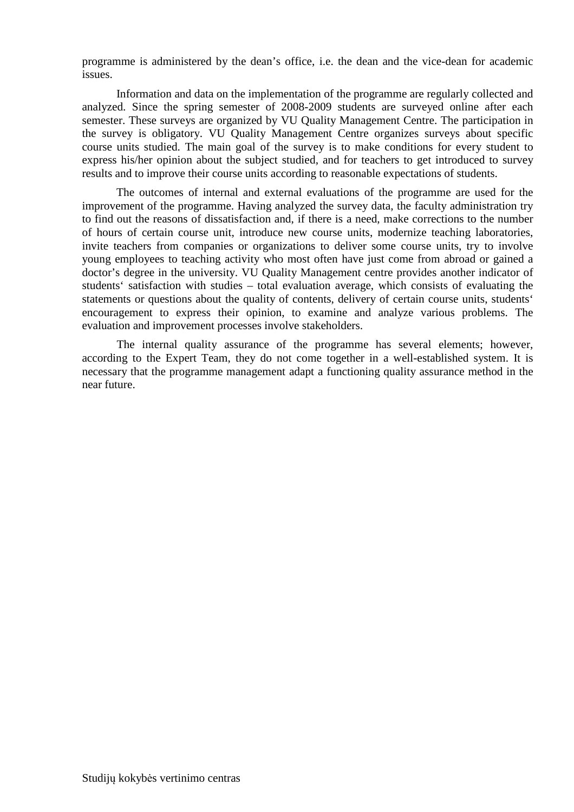programme is administered by the dean's office, i.e. the dean and the vice-dean for academic issues.

Information and data on the implementation of the programme are regularly collected and analyzed. Since the spring semester of 2008-2009 students are surveyed online after each semester. These surveys are organized by VU Quality Management Centre. The participation in the survey is obligatory. VU Quality Management Centre organizes surveys about specific course units studied. The main goal of the survey is to make conditions for every student to express his/her opinion about the subject studied, and for teachers to get introduced to survey results and to improve their course units according to reasonable expectations of students.

The outcomes of internal and external evaluations of the programme are used for the improvement of the programme. Having analyzed the survey data, the faculty administration try to find out the reasons of dissatisfaction and, if there is a need, make corrections to the number of hours of certain course unit, introduce new course units, modernize teaching laboratories, invite teachers from companies or organizations to deliver some course units, try to involve young employees to teaching activity who most often have just come from abroad or gained a doctor's degree in the university. VU Quality Management centre provides another indicator of students' satisfaction with studies – total evaluation average, which consists of evaluating the statements or questions about the quality of contents, delivery of certain course units, students' encouragement to express their opinion, to examine and analyze various problems. The evaluation and improvement processes involve stakeholders.

The internal quality assurance of the programme has several elements; however, according to the Expert Team, they do not come together in a well-established system. It is necessary that the programme management adapt a functioning quality assurance method in the near future.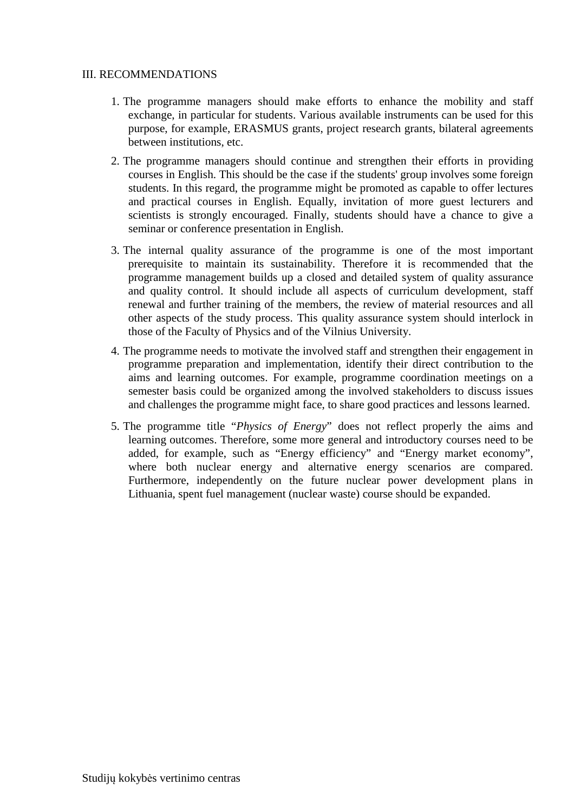#### III. RECOMMENDATIONS

- 1. The programme managers should make efforts to enhance the mobility and staff exchange, in particular for students. Various available instruments can be used for this purpose, for example, ERASMUS grants, project research grants, bilateral agreements between institutions, etc.
- 2. The programme managers should continue and strengthen their efforts in providing courses in English. This should be the case if the students' group involves some foreign students. In this regard, the programme might be promoted as capable to offer lectures and practical courses in English. Equally, invitation of more guest lecturers and scientists is strongly encouraged. Finally, students should have a chance to give a seminar or conference presentation in English.
- 3. The internal quality assurance of the programme is one of the most important prerequisite to maintain its sustainability. Therefore it is recommended that the programme management builds up a closed and detailed system of quality assurance and quality control. It should include all aspects of curriculum development, staff renewal and further training of the members, the review of material resources and all other aspects of the study process. This quality assurance system should interlock in those of the Faculty of Physics and of the Vilnius University.
- 4. The programme needs to motivate the involved staff and strengthen their engagement in programme preparation and implementation, identify their direct contribution to the aims and learning outcomes. For example, programme coordination meetings on a semester basis could be organized among the involved stakeholders to discuss issues and challenges the programme might face, to share good practices and lessons learned.
- 5. The programme title "*Physics of Energy*" does not reflect properly the aims and learning outcomes. Therefore, some more general and introductory courses need to be added, for example, such as "Energy efficiency" and "Energy market economy", where both nuclear energy and alternative energy scenarios are compared. Furthermore, independently on the future nuclear power development plans in Lithuania, spent fuel management (nuclear waste) course should be expanded.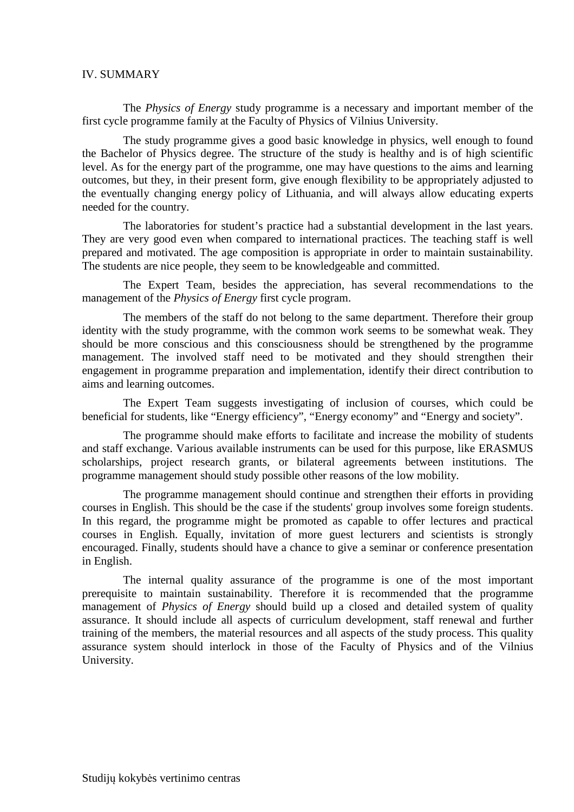#### IV. SUMMARY

The *Physics of Energy* study programme is a necessary and important member of the first cycle programme family at the Faculty of Physics of Vilnius University.

The study programme gives a good basic knowledge in physics, well enough to found the Bachelor of Physics degree. The structure of the study is healthy and is of high scientific level. As for the energy part of the programme, one may have questions to the aims and learning outcomes, but they, in their present form, give enough flexibility to be appropriately adjusted to the eventually changing energy policy of Lithuania, and will always allow educating experts needed for the country.

The laboratories for student's practice had a substantial development in the last years. They are very good even when compared to international practices. The teaching staff is well prepared and motivated. The age composition is appropriate in order to maintain sustainability. The students are nice people, they seem to be knowledgeable and committed.

The Expert Team, besides the appreciation, has several recommendations to the management of the *Physics of Energy* first cycle program.

The members of the staff do not belong to the same department. Therefore their group identity with the study programme, with the common work seems to be somewhat weak. They should be more conscious and this consciousness should be strengthened by the programme management. The involved staff need to be motivated and they should strengthen their engagement in programme preparation and implementation, identify their direct contribution to aims and learning outcomes.

The Expert Team suggests investigating of inclusion of courses, which could be beneficial for students, like "Energy efficiency", "Energy economy" and "Energy and society".

The programme should make efforts to facilitate and increase the mobility of students and staff exchange. Various available instruments can be used for this purpose, like ERASMUS scholarships, project research grants, or bilateral agreements between institutions. The programme management should study possible other reasons of the low mobility.

The programme management should continue and strengthen their efforts in providing courses in English. This should be the case if the students' group involves some foreign students. In this regard, the programme might be promoted as capable to offer lectures and practical courses in English. Equally, invitation of more guest lecturers and scientists is strongly encouraged. Finally, students should have a chance to give a seminar or conference presentation in English.

The internal quality assurance of the programme is one of the most important prerequisite to maintain sustainability. Therefore it is recommended that the programme management of *Physics of Energy* should build up a closed and detailed system of quality assurance. It should include all aspects of curriculum development, staff renewal and further training of the members, the material resources and all aspects of the study process. This quality assurance system should interlock in those of the Faculty of Physics and of the Vilnius University.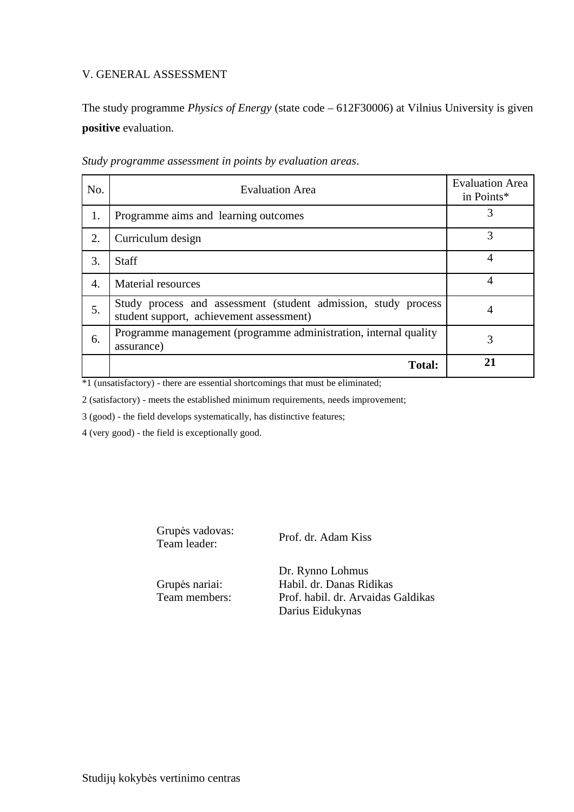### V. GENERAL ASSESSMENT

The study programme *Physics of Energy* (state code – 612F30006) at Vilnius University is given **positive** evaluation.

| No.              | <b>Evaluation Area</b>                                                                                     | <b>Evaluation Area</b><br>in Points* |
|------------------|------------------------------------------------------------------------------------------------------------|--------------------------------------|
| 1.               | Programme aims and learning outcomes                                                                       | 3                                    |
| 2.               | Curriculum design                                                                                          | 3                                    |
| 3.               | <b>Staff</b>                                                                                               | 4                                    |
| $\overline{4}$ . | Material resources                                                                                         | 4                                    |
| 5.               | Study process and assessment (student admission, study process<br>student support, achievement assessment) | 4                                    |
| 6.               | Programme management (programme administration, internal quality<br>assurance)                             | 3                                    |
|                  | <b>Total:</b>                                                                                              |                                      |

*Study programme assessment in points by evaluation areas*.

\*1 (unsatisfactory) - there are essential shortcomings that must be eliminated;

2 (satisfactory) - meets the established minimum requirements, needs improvement;

3 (good) - the field develops systematically, has distinctive features;

4 (very good) - the field is exceptionally good.

Grupės vadovas: Team leader: Prof. dr. Adam Kiss

Grupės nariai: Team members:

Dr. Rynno Lohmus Habil. dr. Danas Ridikas Prof. habil. dr. Arvaidas Galdikas Darius Eidukynas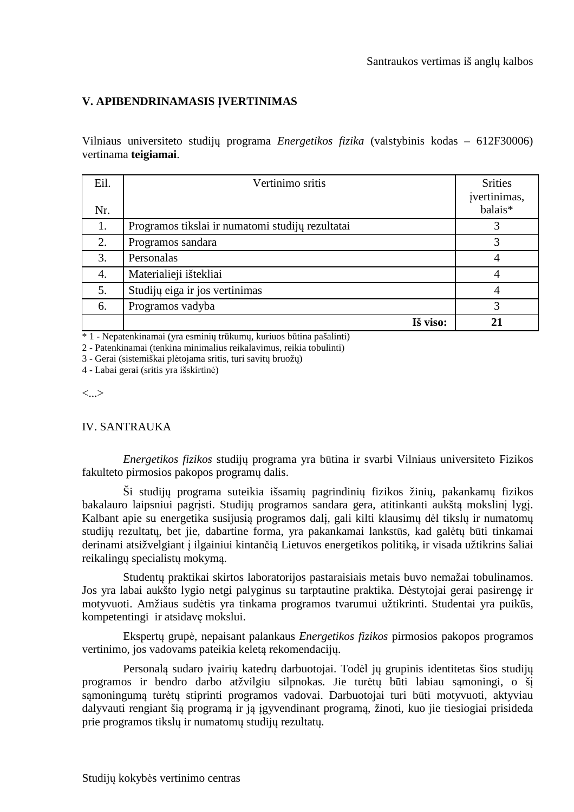## **V. APIBENDRINAMASIS ĮVERTINIMAS**

Vilniaus universiteto studijų programa *Energetikos fizika* (valstybinis kodas – 612F30006) vertinama **teigiamai**.

| Eil.<br>Nr. | Vertinimo sritis                                 | <b>Srities</b><br>įvertinimas,<br>balais <sup>*</sup> |
|-------------|--------------------------------------------------|-------------------------------------------------------|
| 1.          | Programos tikslai ir numatomi studijų rezultatai | 3                                                     |
| 2.          | Programos sandara                                | 3                                                     |
| 3.          | Personalas                                       | 4                                                     |
| 4.          | Materialieji ištekliai                           |                                                       |
| 5.          | Studijų eiga ir jos vertinimas                   |                                                       |
| 6.          | Programos vadyba                                 | 3                                                     |
|             | Iš viso:                                         | 21                                                    |

\* 1 - Nepatenkinamai (yra esminių trūkumų, kuriuos būtina pašalinti)

2 - Patenkinamai (tenkina minimalius reikalavimus, reikia tobulinti)

3 - Gerai (sistemiškai plėtojama sritis, turi savitų bruožų)

4 - Labai gerai (sritis yra išskirtinė)

<...>

#### IV. SANTRAUKA

*Energetikos fizikos* studijų programa yra būtina ir svarbi Vilniaus universiteto Fizikos fakulteto pirmosios pakopos programų dalis.

Ši studijų programa suteikia išsamių pagrindinių fizikos žinių, pakankamų fizikos bakalauro laipsniui pagrįsti. Studijų programos sandara gera, atitinkanti aukštą mokslinį lygį. Kalbant apie su energetika susijusią programos dalį, gali kilti klausimų dėl tikslų ir numatomų studijų rezultatų, bet jie, dabartine forma, yra pakankamai lankstūs, kad galėtų būti tinkamai derinami atsižvelgiant į ilgainiui kintančią Lietuvos energetikos politiką, ir visada užtikrins šaliai reikalingų specialistų mokymą.

Studentų praktikai skirtos laboratorijos pastaraisiais metais buvo nemažai tobulinamos. Jos yra labai aukšto lygio netgi palyginus su tarptautine praktika. Dėstytojai gerai pasirengę ir motyvuoti. Amžiaus sudėtis yra tinkama programos tvarumui užtikrinti. Studentai yra puikūs, kompetentingi ir atsidavę mokslui.

Ekspertų grupė, nepaisant palankaus *Energetikos fizikos* pirmosios pakopos programos vertinimo, jos vadovams pateikia keletą rekomendacijų.

Personalą sudaro įvairių katedrų darbuotojai. Todėl jų grupinis identitetas šios studijų programos ir bendro darbo atžvilgiu silpnokas. Jie turėtų būti labiau sąmoningi, o šį sąmoningumą turėtų stiprinti programos vadovai. Darbuotojai turi būti motyvuoti, aktyviau dalyvauti rengiant šią programą ir ją įgyvendinant programą, žinoti, kuo jie tiesiogiai prisideda prie programos tikslų ir numatomų studijų rezultatų.